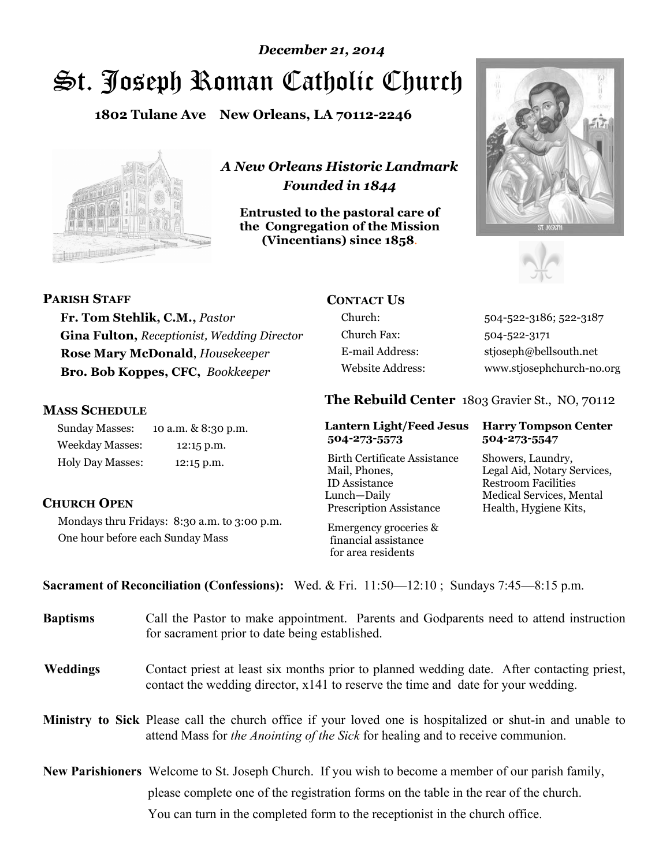# St. Joseph Roman Catholic Church *December 21, 2014*

**1802 Tulane Ave New Orleans, LA 70112-2246**



*A New Orleans Historic Landmark Founded in 1844* 

**Entrusted to the pastoral care of the Congregation of the Mission (Vincentians) since 1858**.





### **PARISH STAFF**

**Fr. Tom Stehlik, C.M.,** *Pastor*  **Gina Fulton,** *Receptionist, Wedding Director* **Rose Mary McDonald**, *Housekeeper*  **Bro. Bob Koppes, CFC,** *Bookkeeper* 

# **MASS SCHEDULE**

Sunday Masses: 10 a.m. & 8:30 p.m. Weekday Masses: 12:15 p.m. Holy Day Masses: 12:15 p.m.

# **CONTACT US**

Church Fax: 504-522-3171

Church: 504-522-3186; 522-3187 E-mail Address: stjoseph@bellsouth.net Website Address: www.stjosephchurch-no.org

# **The Rebuild Center** 1803 Gravier St., NO, 70112

#### **Lantern Light/Feed Jesus Harry Tompson Center 504-273-5573 504-273-5547**

Birth Certificate Assistance Showers, Laundry, Mail, Phones, Legal Aid, Notary Services, ID Assistance Restroom Facilities Lunch—Daily Medical Services, Mental Prescription Assistance Health, Hygiene Kits,

# **CHURCH OPEN**

Mondays thru Fridays: 8:30 a.m. to 3:00 p.m. One hour before each Sunday Mass

 Emergency groceries & financial assistance for area residents

# **Sacrament of Reconciliation (Confessions):** Wed. & Fri. 11:50—12:10 ; Sundays 7:45—8:15 p.m.

| <b>Baptisms</b> | Call the Pastor to make appointment. Parents and Godparents need to attend instruction<br>for sacrament prior to date being established.                                                                   |  |
|-----------------|------------------------------------------------------------------------------------------------------------------------------------------------------------------------------------------------------------|--|
| <b>Weddings</b> | Contact priest at least six months prior to planned wedding date. After contacting priest,<br>contact the wedding director, x141 to reserve the time and date for your wedding.                            |  |
|                 | <b>Ministry to Sick</b> Please call the church office if your loved one is hospitalized or shut-in and unable to<br>attend Mass for <i>the Anointing of the Sick</i> for healing and to receive communion. |  |
|                 | New Parishioners Welcome to St. Joseph Church. If you wish to become a member of our parish family,                                                                                                        |  |
|                 | please complete one of the registration forms on the table in the rear of the church.                                                                                                                      |  |
|                 | You can turn in the completed form to the reception ist in the church office.                                                                                                                              |  |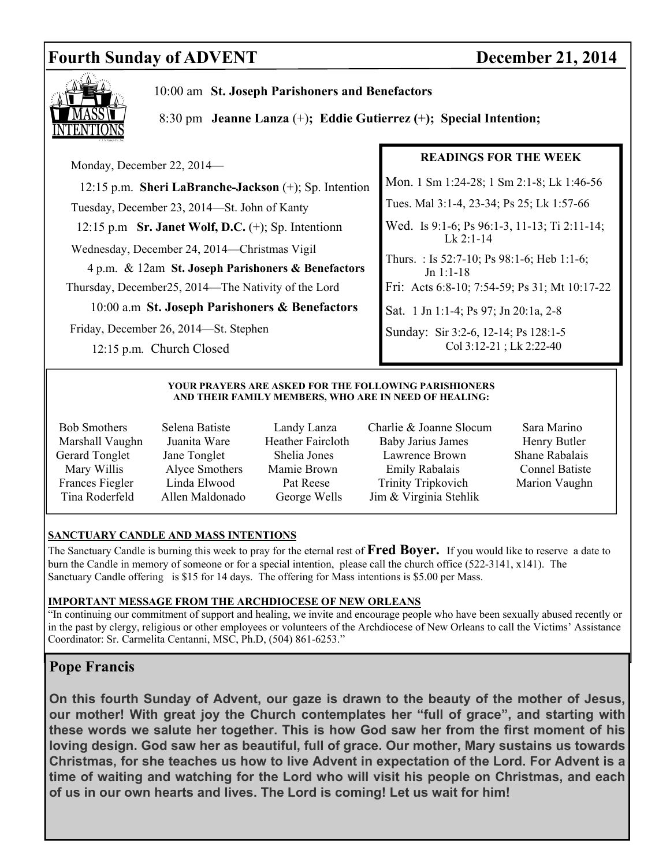# **Fourth Sunday of ADVENT** December 21, 2014



10:00 am **St. Joseph Parishoners and Benefactors**

8:30 pm **Jeanne Lanza** (+)**; Eddie Gutierrez (+); Special Intention;**

 Monday, December 22, 2014— 12:15 p.m. **Sheri LaBranche-Jackson** (+); Sp. Intention Tuesday, December 23, 2014—St. John of Kanty 12:15 p.m **Sr. Janet Wolf, D.C.** (+); Sp. Intentionn Wednesday, December 24, 2014—Christmas Vigil 4 p.m. & 12am **St. Joseph Parishoners & Benefactors**  Thursday, December25, 2014—The Nativity of the Lord 10:00 a.m **St. Joseph Parishoners & Benefactors** Friday, December 26, 2014—St. Stephen 12:15 p.m*.* Church Closed **READINGS FOR THE WEEK**  Mon. 1 Sm 1:24-28; 1 Sm 2:1-8; Lk 1:46-56 Tues. Mal 3:1-4, 23-34; Ps 25; Lk 1:57-66 Wed. Is 9:1-6; Ps 96:1-3, 11-13; Ti 2:11-14; Lk 2:1-14 Thurs. : Is 52:7-10; Ps 98:1-6; Heb 1:1-6; Jn 1:1-18 Fri: Acts 6:8-10; 7:54-59; Ps 31; Mt 10:17-22 Sat. 1 Jn 1:1-4; Ps 97; Jn 20:1a, 2-8 Sunday: Sir 3:2-6, 12-14; Ps 128:1-5 Col 3:12-21 ; Lk 2:22-40

#### **YOUR PRAYERS ARE ASKED FOR THE FOLLOWING PARISHIONERS AND THEIR FAMILY MEMBERS, WHO ARE IN NEED OF HEALING:**

- 
- 
- 
- Bob Smothers Selena Batiste Landy Lanza Charlie & Joanne Slocum Sara Marino Marshall Vaughn Juanita Ware Heather Faircloth Baby Jarius James Henry Butler Gerard Tonglet Jane Tonglet Shelia Jones Lawrence Brown Shane Rabalais Mary Willis Alyce Smothers Mamie Brown Emily Rabalais Connel Batiste Frances Fiegler Linda Elwood Pat Reese Trinity Tripkovich Marion Vaughn Tina Roderfeld Allen Maldonado George Wells Jim & Virginia Stehlik
	-

### **SANCTUARY CANDLE AND MASS INTENTIONS**

The Sanctuary Candle is burning this week to pray for the eternal rest of **Fred Boyer.** If you would like to reserve a date to burn the Candle in memory of someone or for a special intention, please call the church office (522-3141, x141). The Sanctuary Candle offering is \$15 for 14 days. The offering for Mass intentions is \$5.00 per Mass.

### **IMPORTANT MESSAGE FROM THE ARCHDIOCESE OF NEW ORLEANS**

"In continuing our commitment of support and healing, we invite and encourage people who have been sexually abused recently or in the past by clergy, religious or other employees or volunteers of the Archdiocese of New Orleans to call the Victims' Assistance Coordinator: Sr. Carmelita Centanni, MSC, Ph.D, (504) 861-6253."

# **Pope Francis**

**On this fourth Sunday of Advent, our gaze is drawn to the beauty of the mother of Jesus, our mother! With great joy the Church contemplates her "full of grace", and starting with these words we salute her together. This is how God saw her from the first moment of his loving design. God saw her as beautiful, full of grace. Our mother, Mary sustains us towards Christmas, for she teaches us how to live Advent in expectation of the Lord. For Advent is a time of waiting and watching for the Lord who will visit his people on Christmas, and each of us in our own hearts and lives. The Lord is coming! Let us wait for him!**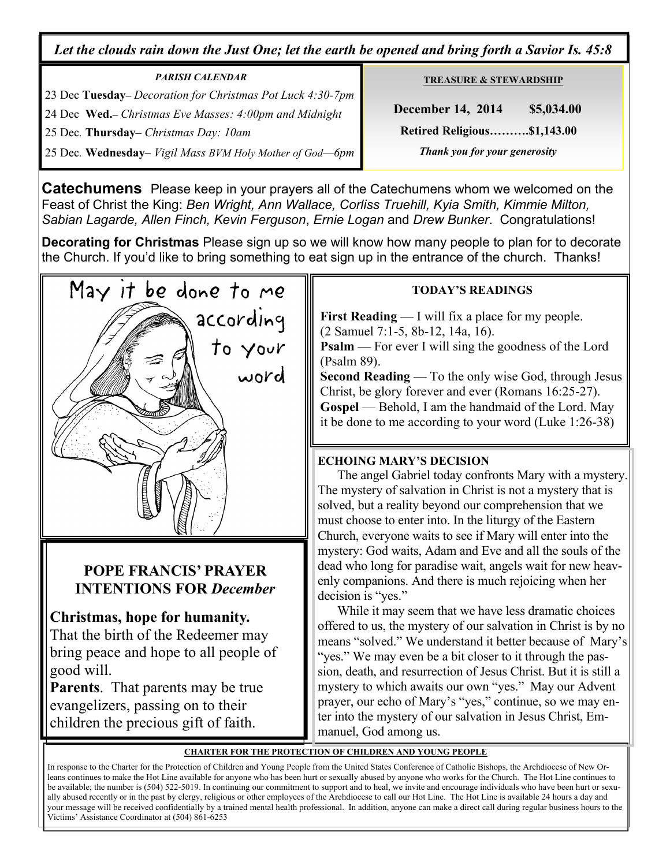*Let the clouds rain down the Just One; let the earth be opened and bring forth a Savior Is. 45:8* 

| <b>PARISH CALENDAR</b>                                     |  |  |
|------------------------------------------------------------|--|--|
| 23 Dec Tuesday– Decoration for Christmas Pot Luck 4:30-7pm |  |  |
| 24 Dec Wed.– Christmas Eve Masses: 4:00pm and Midnight     |  |  |
| 25 Dec. Thursday– Christmas Day: 10am                      |  |  |
| 25 Dec. Wednesday- Vigil Mass BVM Holy Mother of God-6pm   |  |  |

**TREASURE & STEWARDSHIP**

 **December 14, 2014 \$5,034.00 Retired Religious……….\$1,143.00**   *Thank you for your generosity* 

**Catechumens** Please keep in your prayers all of the Catechumens whom we welcomed on the Feast of Christ the King: *Ben Wright, Ann Wallace, Corliss Truehill, Kyia Smith, Kimmie Milton, Sabian Lagarde, Allen Finch, Kevin Ferguson*, *Ernie Logan* and *Drew Bunker*. Congratulations!

**Decorating for Christmas** Please sign up so we will know how many people to plan for to decorate the Church. If you'd like to bring something to eat sign up in the entrance of the church. Thanks!



# **POPE FRANCIS' PRAYER INTENTIONS FOR** *December*

# **Christmas, hope for humanity.**

That the birth of the Redeemer may bring peace and hope to all people of good will.

**Parents**. That parents may be true evangelizers, passing on to their children the precious gift of faith.

# **TODAY'S READINGS**

**First Reading** — I will fix a place for my people. (2 Samuel 7:1-5, 8b-12, 14a, 16). **Psalm** — For ever I will sing the goodness of the Lord (Psalm 89).

**Second Reading** — To the only wise God, through Jesus Christ, be glory forever and ever (Romans 16:25-27). **Gospel** — Behold, I am the handmaid of the Lord. May it be done to me according to your word (Luke 1:26-38)

# **ECHOING MARY'S DECISION**

The angel Gabriel today confronts Mary with a mystery. The mystery of salvation in Christ is not a mystery that is solved, but a reality beyond our comprehension that we must choose to enter into. In the liturgy of the Eastern Church, everyone waits to see if Mary will enter into the mystery: God waits, Adam and Eve and all the souls of the dead who long for paradise wait, angels wait for new heavenly companions. And there is much rejoicing when her decision is "yes."

 While it may seem that we have less dramatic choices offered to us, the mystery of our salvation in Christ is by no means "solved." We understand it better because of Mary's "yes." We may even be a bit closer to it through the passion, death, and resurrection of Jesus Christ. But it is still a mystery to which awaits our own "yes." May our Advent prayer, our echo of Mary's "yes," continue, so we may enter into the mystery of our salvation in Jesus Christ, Emmanuel, God among us.

# **CHARTER FOR THE PROTECTION OF CHILDREN AND YOUNG PEOPLE**

In response to the Charter for the Protection of Children and Young People from the United States Conference of Catholic Bishops, the Archdiocese of New Orleans continues to make the Hot Line available for anyone who has been hurt or sexually abused by anyone who works for the Church. The Hot Line continues to be available; the number is (504) 522-5019. In continuing our commitment to support and to heal, we invite and encourage individuals who have been hurt or sexually abused recently or in the past by clergy, religious or other employees of the Archdiocese to call our Hot Line. The Hot Line is available 24 hours a day and your message will be received confidentially by a trained mental health professional. In addition, anyone can make a direct call during regular business hours to the Victims' Assistance Coordinator at (504) 861-6253